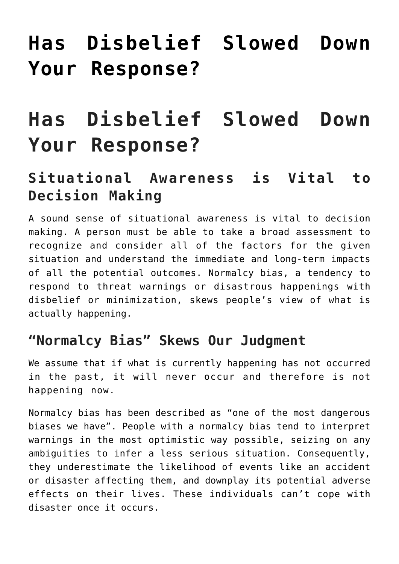# **[Has Disbelief Slowed Down](https://freedomists.com/has-disbelief-slowed-down-your-response/) [Your Response?](https://freedomists.com/has-disbelief-slowed-down-your-response/)**

## **Has Disbelief Slowed Down Your Response?**

## **Situational Awareness is Vital to Decision Making**

A sound sense of situational awareness is vital to decision making. A person must be able to take a broad assessment to recognize and consider all of the factors for the given situation and understand the immediate and long-term impacts of all the potential outcomes. Normalcy bias, a tendency to respond to threat warnings or disastrous happenings with disbelief or minimization, skews people's view of what is actually happening.

#### **"Normalcy Bias" Skews Our Judgment**

We assume that if what is currently happening has not occurred in the past, it will never occur and therefore is not happening now.

Normalcy bias has been described as "one of the most dangerous biases we have". People with a normalcy bias tend to interpret warnings in the most optimistic way possible, seizing on any ambiguities to infer a less serious situation. Consequently, they underestimate the likelihood of events like an accident or disaster affecting them, and downplay its potential adverse effects on their lives. These individuals can't cope with disaster once it occurs.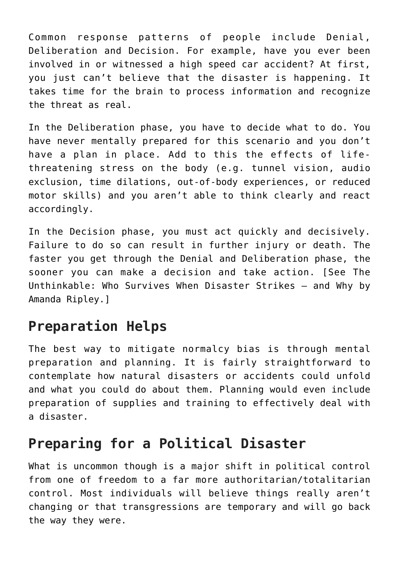Common response patterns of people include Denial, Deliberation and Decision. For example, have you ever been involved in or witnessed a high speed car accident? At first, you just can't believe that the disaster is happening. It takes time for the brain to process information and recognize the threat as real.

In the Deliberation phase, you have to decide what to do. You have never mentally prepared for this scenario and you don't have a plan in place. Add to this the effects of lifethreatening stress on the body (e.g. tunnel vision, audio exclusion, time dilations, out-of-body experiences, or reduced motor skills) and you aren't able to think clearly and react accordingly.

In the Decision phase, you must act quickly and decisively. Failure to do so can result in further injury or death. The faster you get through the Denial and Deliberation phase, the sooner you can make a decision and take action. [See The Unthinkable: Who Survives When Disaster Strikes – and Why by Amanda Ripley.]

### **Preparation Helps**

The best way to mitigate normalcy bias is through mental preparation and planning. It is fairly straightforward to contemplate how natural disasters or accidents could unfold and what you could do about them. Planning would even include preparation of supplies and training to effectively deal with a disaster.

## **Preparing for a Political Disaster**

What is uncommon though is a major shift in political control from one of freedom to a far more authoritarian/totalitarian control. Most individuals will believe things really aren't changing or that transgressions are temporary and will go back the way they were.